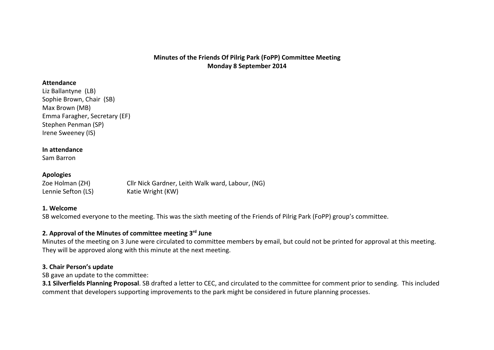# **Minutes of the Friends Of Pilrig Park (FoPP) Committee Meeting Monday 8 September 2014**

#### **Attendance**

Liz Ballantyne (LB) Sophie Brown, Chair (SB) Max Brown (MB) Emma Faragher, Secretary (EF) Stephen Penman (SP) Irene Sweeney (IS)

#### **In attendance**

Sam Barron

#### **Apologies**

| Zoe Holman (ZH)    | Cllr Nick Gardner, Leith Walk ward, Labour, (NG) |
|--------------------|--------------------------------------------------|
| Lennie Sefton (LS) | Katie Wright (KW)                                |

#### **1. Welcome**

SB welcomed everyone to the meeting. This was the sixth meeting of the Friends of Pilrig Park (FoPP) group's committee.

#### **2. Approval of the Minutes of committee meeting 3rdJune**

Minutes of the meeting on 3 June were circulated to committee members by email, but could not be printed for approval at this meeting. They will be approved along with this minute at the next meeting.

## **3. Chair Person's update**

SB gave an update to the committee:

**3.1Silverfields Planning Proposal**. SB drafted a letter to CEC, and circulated to the committee for comment prior to sending. This included comment that developers supporting improvements to the park might be considered in future planning processes.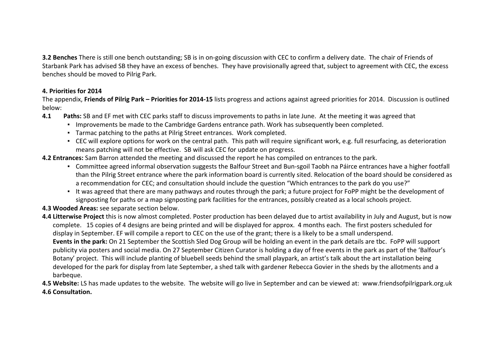**3.2Benches**There is still one bench outstanding; SB is in on-going discussion with CEC to confirm a delivery date. The chair of Friends of Starbank Park has advised SB they have an excess of benches. They have provisionally agreed that, subject to agreement with CEC, the excess benches should be moved to Pilrig Park.

# **4. Priorities for 2014**

The appendix, **Friends of Pilrig Park – Priorities for 2014-15** lists progress and actions against agreed priorities for 2014. Discussion is outlined below:

- **4.1 Paths:** SB and EF met with CEC parks staff to discuss improvements to paths in late June. At the meeting it was agreed that
	- Improvements be made to the Cambridge Gardens entrance path. Work has subsequently been completed.
	- Tarmac patching to the paths at Pilrig Street entrances. Work completed.
	- CEC will explore options for work on the central path. This path will require significant work, e.g. full resurfacing, as deterioration means patching will not be effective. SB will ask CEC for update on progress.

**4.2 Entrances:** Sam Barron attended the meeting and discussed the report he has compiled on entrances to the park.

- Committee agreed informal observation suggests the Balfour Street and Bun-sgoil Taobh na Páirce entrances have a higher footfall than the Pilrig Street entrance where the park information board is currently sited. Relocation of the board should be considered as a recommendation for CEC; and consultation should include the question "Which entrances to the park do you use?"
- It was agreed that there are many pathways and routes through the park; a future project for FoPP might be the development of signposting for paths or a map signposting park facilities for the entrances, possibly created as a local schools project.
- **4.3 Wooded Areas:** see separate section below.

**4.4 Litterwise Project** this is now almost completed. Poster production has been delayed due to artist availability in July and August, but is now complete. 15 copies of 4 designs are being printed and will be displayed for approx. 4 months each. The first posters scheduled for display in September. EF will compile a report to CEC on the use of the grant; there is a likely to be a small underspend. **Events in the park:** On 21 September the Scottish Sled Dog Group will be holding an event in the park details are tbc. FoPP will support publicity via posters and social media. On 27 September Citizen Curator is holding a day of free events in the park as part of the 'Balfour's Botany' project. This will include planting of bluebell seeds behind the small playpark, an artist's talk about the art installation being developed for the park for display from late September, a shed talk with gardener Rebecca Govier in the sheds by the allotments and a barbeque.

**4.5 Website:**LS has made updates to the website. The website will go live in September and can be viewed at: www.friendsofpilrigpark.org.uk **4.6 Consultation.**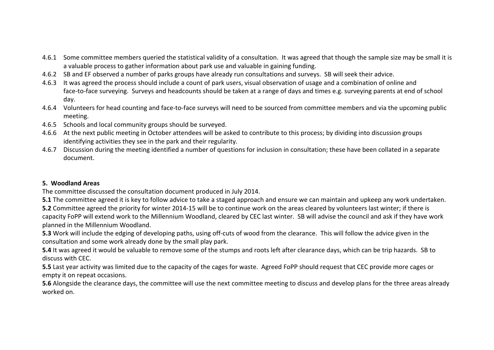- 4.6.1 Some committee members queried the statistical validity of a consultation. It was agreed that though the sample size may be small it is a valuable process to gather information about park use and valuable in gaining funding.
- 4.6.2 SB and EF observed a number of parks groups have already run consultations and surveys. SB will seek their advice.
- 4.6.3 It was agreed the process should include a count of park users, visual observation of usage and a combination of online and face-to-face surveying. Surveys and headcounts should be taken at a range of days and times e.g. surveying parents at end of school day.
- 4.6.4 Volunteers for head counting and face-to-face surveys will need to be sourced from committee members and via the upcoming public meeting.
- 4.6.5 Schools and local community groups should be surveyed.
- 4.6.6 At the next public meeting in October attendees will be asked to contribute to this process; by dividing into discussion groups identifying activities they see in the park and their regularity.
- 4.6.7 Discussion during the meeting identified a number of questions for inclusion in consultation; these have been collated in a separate document.

# **5. Woodland Areas**

The committee discussed the consultation document produced in July 2014.

**5.1** The committee agreed it is key to follow advice to take a staged approach and ensure we can maintain and upkeep any work undertaken. **5.2**Committee agreed the priority for winter 2014-15 will be to continue work on the areas cleared by volunteers last winter; if there is capacity FoPP will extend work to the Millennium Woodland, cleared by CEC last winter. SB will advise the council and ask if they have work planned in the Millennium Woodland.

**5.3**Work will include the edging of developing paths, using off-cuts of wood from the clearance. This will follow the advice given in the consultation and some work already done by the small play park.

**5.4** It was agreed it would be valuable to remove some of the stumps and roots left after clearance days, which can be trip hazards. SB to discuss with CEC.

**5.5** Last year activity was limited due to the capacity of the cages for waste. Agreed FoPP should request that CEC provide more cages or empty it on repeat occasions.

**5.6** Alongside the clearance days, the committee will use the next committee meeting to discuss and develop plans for the three areas already worked on.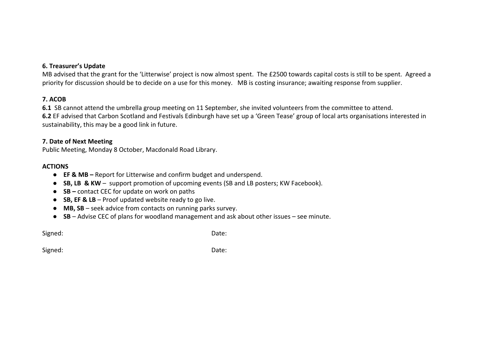## **6. Treasurer's Update**

MB advised that the grant for the 'Litterwise' project is now almost spent. The £2500 towards capital costs is still to be spent. Agreed a priority for discussion should be to decide on a use for this money. MB is costing insurance; awaiting response from supplier.

# **7. ACOB**

**6.1** SB cannot attend the umbrella group meeting on 11 September, she invited volunteers from the committee to attend. **6.2** EF advised that Carbon Scotland and Festivals Edinburgh have set up a 'Green Tease' group of local arts organisations interested in sustainability, this may be a good link in future.

## **7. Date of Next Meeting**

Public Meeting, Monday 8 October, Macdonald Road Library.

# **ACTIONS**

- **EF & MB –** Report for Litterwise and confirm budget and underspend.
- **SB, LB & KW** support promotion of upcoming events (SB and LB posters; KW Facebook).
- **SB –** contact CEC for update on work on paths
- **SB, EF & LB** Proof updated website ready to go live.
- **MB, SB** seek advice from contacts on running parks survey.
- **SB** Advise CEC of plans for woodland management and ask about other issues see minute.

Signed: Contract Contract Contract Contract Contract Contract Contract Contract Contract Contract Contract Contract Contract Contract Contract Contract Contract Contract Contract Contract Contract Contract Contract Contrac

Signed: Date: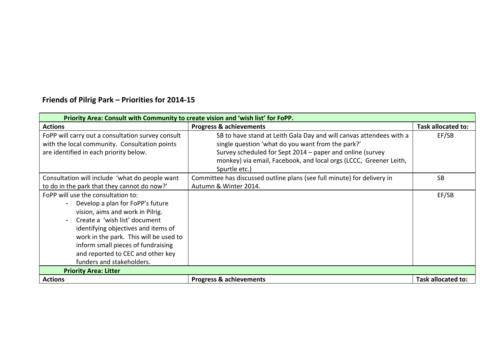# **Friends of Pilrig Park – Priorities for 2014-15**

| Priority Area: Consult with Community to create vision and 'wish list' for FoPP.                                                                                                                                                                                                                                                     |                                                                                                                                                                                                                                                                             |                    |
|--------------------------------------------------------------------------------------------------------------------------------------------------------------------------------------------------------------------------------------------------------------------------------------------------------------------------------------|-----------------------------------------------------------------------------------------------------------------------------------------------------------------------------------------------------------------------------------------------------------------------------|--------------------|
| <b>Actions</b>                                                                                                                                                                                                                                                                                                                       | <b>Progress &amp; achievements</b>                                                                                                                                                                                                                                          | Task allocated to: |
| FoPP will carry out a consultation survey consult<br>with the local community. Consultation points<br>are identified in each priority below.                                                                                                                                                                                         | SB to have stand at Leith Gala Day and will canvas attendees with a<br>single question 'what do you want from the park?'<br>Survey scheduled for Sept 2014 – paper and online (survey<br>monkey) via email, Facebook, and local orgs (LCCC, Greener Leith,<br>Spurtle etc.) | EF/SB              |
| Consultation will include 'what do people want<br>to do in the park that they cannot do now?'                                                                                                                                                                                                                                        | Committee has discussed outline plans (see full minute) for delivery in<br>Autumn & Winter 2014.                                                                                                                                                                            | <b>SB</b>          |
| FoPP will use the consultation to:<br>Develop a plan for FoPP's future<br>vision, aims and work in Pilrig.<br>Create a 'wish list' document<br>identifying objectives and items of<br>work in the park. This will be used to<br>inform small pieces of fundraising<br>and reported to CEC and other key<br>funders and stakeholders. |                                                                                                                                                                                                                                                                             | EF/SB              |
| <b>Priority Area: Litter</b>                                                                                                                                                                                                                                                                                                         |                                                                                                                                                                                                                                                                             |                    |
| <b>Actions</b>                                                                                                                                                                                                                                                                                                                       | <b>Progress &amp; achievements</b>                                                                                                                                                                                                                                          | Task allocated to: |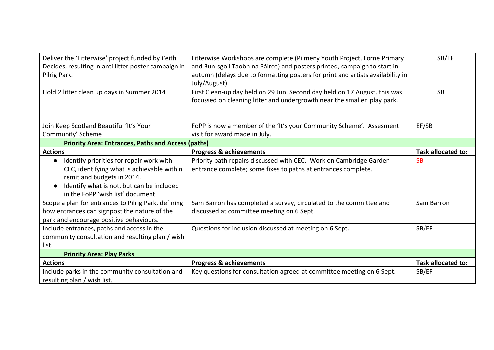| Deliver the 'Litterwise' project funded by £eith<br>Decides, resulting in anti litter poster campaign in<br>Pilrig Park.                                                                                            | Litterwise Workshops are complete (Pilmeny Youth Project, Lorne Primary<br>and Bun-sgoil Taobh na Páirce) and posters printed, campaign to start in<br>autumn (delays due to formatting posters for print and artists availability in<br>July/August). | SB/EF              |
|---------------------------------------------------------------------------------------------------------------------------------------------------------------------------------------------------------------------|--------------------------------------------------------------------------------------------------------------------------------------------------------------------------------------------------------------------------------------------------------|--------------------|
| Hold 2 litter clean up days in Summer 2014                                                                                                                                                                          | First Clean-up day held on 29 Jun. Second day held on 17 August, this was<br>focussed on cleaning litter and undergrowth near the smaller play park.                                                                                                   | <b>SB</b>          |
| Join Keep Scotland Beautiful 'It's Your                                                                                                                                                                             | FoPP is now a member of the 'It's your Community Scheme'. Assesment                                                                                                                                                                                    | EF/SB              |
| Community' Scheme                                                                                                                                                                                                   | visit for award made in July.                                                                                                                                                                                                                          |                    |
| <b>Priority Area: Entrances, Paths and Access (paths)</b>                                                                                                                                                           |                                                                                                                                                                                                                                                        |                    |
| <b>Actions</b>                                                                                                                                                                                                      | <b>Progress &amp; achievements</b>                                                                                                                                                                                                                     | Task allocated to: |
| Identify priorities for repair work with<br>$\bullet$<br>CEC, identifying what is achievable within<br>remit and budgets in 2014.<br>Identify what is not, but can be included<br>in the FoPP 'wish list' document. | Priority path repairs discussed with CEC. Work on Cambridge Garden<br>entrance complete; some fixes to paths at entrances complete.                                                                                                                    | <b>SB</b>          |
| Scope a plan for entrances to Pilrig Park, defining<br>how entrances can signpost the nature of the<br>park and encourage positive behaviours.                                                                      | Sam Barron has completed a survey, circulated to the committee and<br>discussed at committee meeting on 6 Sept.                                                                                                                                        | Sam Barron         |
| Include entrances, paths and access in the<br>community consultation and resulting plan / wish<br>list.                                                                                                             | Questions for inclusion discussed at meeting on 6 Sept.                                                                                                                                                                                                | SB/EF              |
| <b>Priority Area: Play Parks</b>                                                                                                                                                                                    |                                                                                                                                                                                                                                                        |                    |
| <b>Actions</b>                                                                                                                                                                                                      | <b>Progress &amp; achievements</b>                                                                                                                                                                                                                     | Task allocated to: |
| Include parks in the community consultation and<br>resulting plan / wish list.                                                                                                                                      | Key questions for consultation agreed at committee meeting on 6 Sept.                                                                                                                                                                                  | SB/EF              |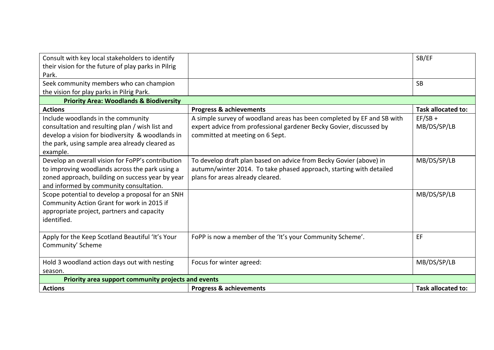| Consult with key local stakeholders to identify<br>their vision for the future of play parks in Pilrig<br>Park.                                                                                         |                                                                                                                                                                                  | SB/EF                     |
|---------------------------------------------------------------------------------------------------------------------------------------------------------------------------------------------------------|----------------------------------------------------------------------------------------------------------------------------------------------------------------------------------|---------------------------|
| Seek community members who can champion<br>the vision for play parks in Pilrig Park.                                                                                                                    |                                                                                                                                                                                  | <b>SB</b>                 |
| <b>Priority Area: Woodlands &amp; Biodiversity</b>                                                                                                                                                      |                                                                                                                                                                                  |                           |
| <b>Actions</b>                                                                                                                                                                                          | <b>Progress &amp; achievements</b>                                                                                                                                               | <b>Task allocated to:</b> |
| Include woodlands in the community<br>consultation and resulting plan / wish list and<br>develop a vision for biodiversity & woodlands in<br>the park, using sample area already cleared as<br>example. | A simple survey of woodland areas has been completed by EF and SB with<br>expert advice from professional gardener Becky Govier, discussed by<br>committed at meeting on 6 Sept. | $EF/SB +$<br>MB/DS/SP/LB  |
| Develop an overall vision for FoPP's contribution<br>to improving woodlands across the park using a<br>zoned approach, building on success year by year<br>and informed by community consultation.      | To develop draft plan based on advice from Becky Govier (above) in<br>autumn/winter 2014. To take phased approach, starting with detailed<br>plans for areas already cleared.    | MB/DS/SP/LB               |
| Scope potential to develop a proposal for an SNH<br>Community Action Grant for work in 2015 if<br>appropriate project, partners and capacity<br>identified.                                             |                                                                                                                                                                                  | MB/DS/SP/LB               |
| Apply for the Keep Scotland Beautiful 'It's Your<br>Community' Scheme                                                                                                                                   | FoPP is now a member of the 'It's your Community Scheme'.                                                                                                                        | EF                        |
| Hold 3 woodland action days out with nesting<br>season.                                                                                                                                                 | Focus for winter agreed:                                                                                                                                                         | MB/DS/SP/LB               |
| Priority area support community projects and events                                                                                                                                                     |                                                                                                                                                                                  |                           |
| <b>Actions</b>                                                                                                                                                                                          | <b>Progress &amp; achievements</b>                                                                                                                                               | Task allocated to:        |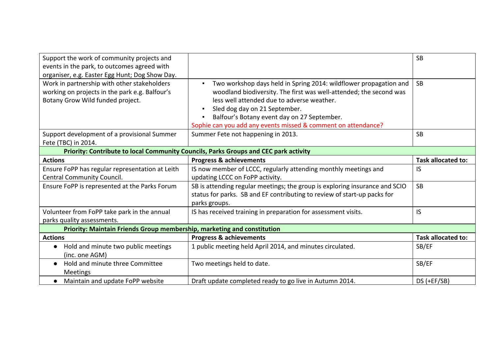| Support the work of community projects and<br>events in the park, to outcomes agreed with<br>organiser, e.g. Easter Egg Hunt; Dog Show Day. |                                                                                                                                                                                                                                                                                                                                                                            | <b>SB</b>                 |
|---------------------------------------------------------------------------------------------------------------------------------------------|----------------------------------------------------------------------------------------------------------------------------------------------------------------------------------------------------------------------------------------------------------------------------------------------------------------------------------------------------------------------------|---------------------------|
| Work in partnership with other stakeholders<br>working on projects in the park e.g. Balfour's<br>Botany Grow Wild funded project.           | Two workshop days held in Spring 2014: wildflower propagation and<br>$\blacksquare$<br>woodland biodiversity. The first was well-attended; the second was<br>less well attended due to adverse weather.<br>Sled dog day on 21 September.<br>Balfour's Botany event day on 27 September.<br>$\blacksquare$<br>Sophie can you add any events missed & comment on attendance? | <b>SB</b>                 |
| Support development of a provisional Summer<br>Fete (TBC) in 2014.                                                                          | Summer Fete not happening in 2013.                                                                                                                                                                                                                                                                                                                                         | <b>SB</b>                 |
| Priority: Contribute to local Community Councils, Parks Groups and CEC park activity                                                        |                                                                                                                                                                                                                                                                                                                                                                            |                           |
| <b>Actions</b>                                                                                                                              | <b>Progress &amp; achievements</b>                                                                                                                                                                                                                                                                                                                                         | <b>Task allocated to:</b> |
| Ensure FoPP has regular representation at Leith<br>Central Community Council.                                                               | IS now member of LCCC, regularly attending monthly meetings and<br>updating LCCC on FoPP activity.                                                                                                                                                                                                                                                                         | IS                        |
| Ensure FoPP is represented at the Parks Forum                                                                                               | SB is attending regular meetings; the group is exploring insurance and SCIO<br>status for parks. SB and EF contributing to review of start-up packs for<br>parks groups.                                                                                                                                                                                                   | <b>SB</b>                 |
| Volunteer from FoPP take park in the annual<br>parks quality assessments.                                                                   | IS has received training in preparation for assessment visits.                                                                                                                                                                                                                                                                                                             | IS                        |
| Priority: Maintain Friends Group membership, marketing and constitution                                                                     |                                                                                                                                                                                                                                                                                                                                                                            |                           |
| <b>Actions</b>                                                                                                                              | <b>Progress &amp; achievements</b>                                                                                                                                                                                                                                                                                                                                         | <b>Task allocated to:</b> |
| Hold and minute two public meetings<br>$\bullet$<br>(inc. one AGM)                                                                          | 1 public meeting held April 2014, and minutes circulated.                                                                                                                                                                                                                                                                                                                  | SB/EF                     |
| Hold and minute three Committee<br><b>Meetings</b>                                                                                          | Two meetings held to date.                                                                                                                                                                                                                                                                                                                                                 | SB/EF                     |
| Maintain and update FoPP website                                                                                                            | Draft update completed ready to go live in Autumn 2014.                                                                                                                                                                                                                                                                                                                    | $DS (+EF/SB)$             |